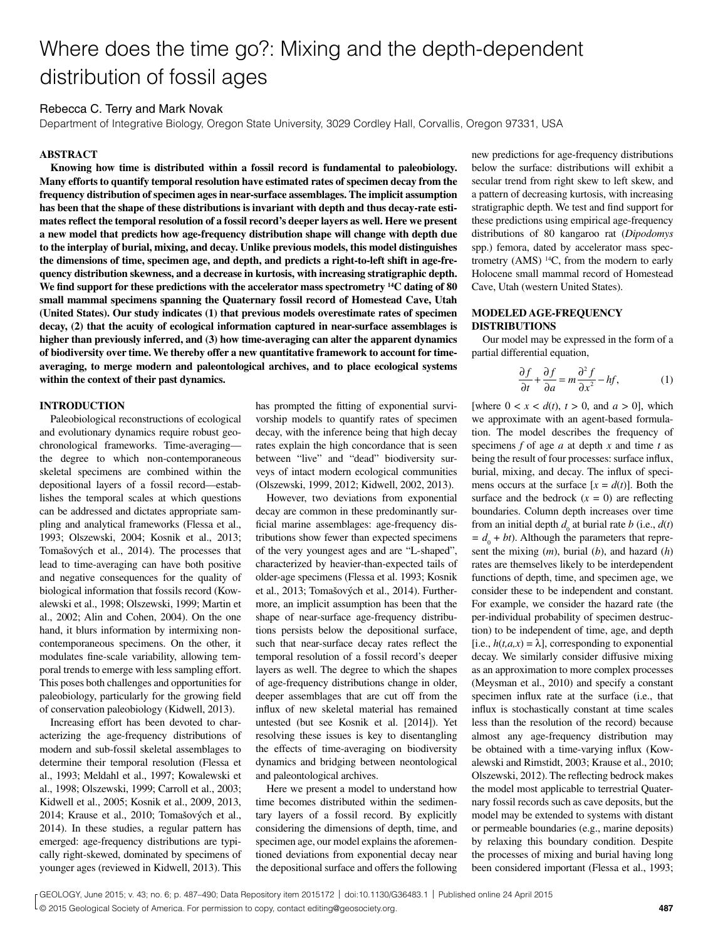# Where does the time go?: Mixing and the depth-dependent distribution of fossil ages

# Rebecca C. Terry and Mark Novak

Department of Integrative Biology, Oregon State University, 3029 Cordley Hall, Corvallis, Oregon 97331, USA

## **ABSTRACT**

**Knowing how time is distributed within a fossil record is fundamental to paleobiology. Many efforts to quantify temporal resolution have estimated rates of specimen decay from the frequency distribution of specimen ages in near-surface assemblages. The implicit assumption has been that the shape of these distributions is invariant with depth and thus decay-rate estimates reflect the temporal resolution of a fossil record's deeper layers as well. Here we present a new model that predicts how age-frequency distribution shape will change with depth due to the interplay of burial, mixing, and decay. Unlike previous models, this model distinguishes the dimensions of time, specimen age, and depth, and predicts a right-to-left shift in age-frequency distribution skewness, and a decrease in kurtosis, with increasing stratigraphic depth. We find support for these predictions with the accelerator mass spectrometry 14C dating of 80 small mammal specimens spanning the Quaternary fossil record of Homestead Cave, Utah (United States). Our study indicates (1) that previous models overestimate rates of specimen decay, (2) that the acuity of ecological information captured in near-surface assemblages is higher than previously inferred, and (3) how time-averaging can alter the apparent dynamics of biodiversity over time. We thereby offer a new quantitative framework to account for timeaveraging, to merge modern and paleontological archives, and to place ecological systems within the context of their past dynamics.**

## **INTRODUCTION**

Paleobiological reconstructions of ecological and evolutionary dynamics require robust geochronological frameworks. Time-averaging the degree to which non-contemporaneous skeletal specimens are combined within the depositional layers of a fossil record—establishes the temporal scales at which questions can be addressed and dictates appropriate sampling and analytical frameworks (Flessa et al., 1993; Olszewski, 2004; Kosnik et al., 2013; Tomašových et al., 2014). The processes that lead to time-averaging can have both positive and negative consequences for the quality of biological information that fossils record (Kowalewski et al., 1998; Olszewski, 1999; Martin et al., 2002; Alin and Cohen, 2004). On the one hand, it blurs information by intermixing noncontemporaneous specimens. On the other, it modulates fine-scale variability, allowing temporal trends to emerge with less sampling effort. This poses both challenges and opportunities for paleobiology, particularly for the growing field of conservation paleobiology (Kidwell, 2013).

Increasing effort has been devoted to characterizing the age-frequency distributions of modern and sub-fossil skeletal assemblages to determine their temporal resolution (Flessa et al., 1993; Meldahl et al., 1997; Kowalewski et al., 1998; Olszewski, 1999; Carroll et al., 2003; Kidwell et al., 2005; Kosnik et al., 2009, 2013, 2014; Krause et al., 2010; Tomašových et al., 2014). In these studies, a regular pattern has emerged: age-frequency distributions are typically right-skewed, dominated by specimens of younger ages (reviewed in Kidwell, 2013). This

has prompted the fitting of exponential survivorship models to quantify rates of specimen decay, with the inference being that high decay rates explain the high concordance that is seen between "live" and "dead" biodiversity surveys of intact modern ecological communities (Olszewski, 1999, 2012; Kidwell, 2002, 2013).

However, two deviations from exponential decay are common in these predominantly surficial marine assemblages: age-frequency distributions show fewer than expected specimens of the very youngest ages and are "L-shaped", characterized by heavier-than-expected tails of older-age specimens (Flessa et al. 1993; Kosnik et al., 2013; Tomašových et al., 2014). Furthermore, an implicit assumption has been that the shape of near-surface age-frequency distributions persists below the depositional surface, such that near-surface decay rates reflect the temporal resolution of a fossil record's deeper layers as well. The degree to which the shapes of age-frequency distributions change in older, deeper assemblages that are cut off from the influx of new skeletal material has remained untested (but see Kosnik et al. [2014]). Yet resolving these issues is key to disentangling the effects of time-averaging on biodiversity dynamics and bridging between neontological and paleontological archives.

Here we present a model to understand how time becomes distributed within the sedimentary layers of a fossil record. By explicitly considering the dimensions of depth, time, and specimen age, our model explains the aforementioned deviations from exponential decay near the depositional surface and offers the following

new predictions for age-frequency distributions below the surface: distributions will exhibit a secular trend from right skew to left skew, and a pattern of decreasing kurtosis, with increasing stratigraphic depth. We test and find support for these predictions using empirical age-frequency distributions of 80 kangaroo rat (*Dipodomys* spp.) femora, dated by accelerator mass spectrometry  $(AMS)$  <sup>14</sup>C, from the modern to early Holocene small mammal record of Homestead Cave, Utah (western United States).

# **MODELED AGE-FREQUENCY DISTRIBUTIONS**

Our model may be expressed in the form of a partial differential equation,

$$
\frac{\partial f}{\partial t} + \frac{\partial f}{\partial a} = m \frac{\partial^2 f}{\partial x^2} - hf,\tag{1}
$$

[where  $0 < x < d(t)$ ,  $t > 0$ , and  $a > 0$ ], which we approximate with an agent-based formulation. The model describes the frequency of specimens *f* of age *a* at depth *x* and time *t* as being the result of four processes: surface influx, burial, mixing, and decay. The influx of specimens occurs at the surface  $[x = d(t)]$ . Both the surface and the bedrock  $(x = 0)$  are reflecting boundaries. Column depth increases over time from an initial depth  $d_0$  at burial rate  $b$  (i.e.,  $d(t)$ )  $= d_0 + bt$ ). Although the parameters that represent the mixing (*m*), burial (*b*), and hazard (*h*) rates are themselves likely to be interdependent functions of depth, time, and specimen age, we consider these to be independent and constant. For example, we consider the hazard rate (the per-individual probability of specimen destruction) to be independent of time, age, and depth [i.e.,  $h(t, a, x) = \lambda$ ], corresponding to exponential decay. We similarly consider diffusive mixing as an approximation to more complex processes (Meysman et al., 2010) and specify a constant specimen influx rate at the surface (i.e., that influx is stochastically constant at time scales less than the resolution of the record) because almost any age-frequency distribution may be obtained with a time-varying influx (Kowalewski and Rimstidt, 2003; Krause et al., 2010; Olszewski, 2012). The reflecting bedrock makes the model most applicable to terrestrial Quaternary fossil records such as cave deposits, but the model may be extended to systems with distant or permeable boundaries (e.g., marine deposits) by relaxing this boundary condition. Despite the processes of mixing and burial having long been considered important (Flessa et al., 1993;

GEOLOGY, June 2015; v. 43; no. 6; p. 487–490; Data Repository item 2015172 | doi:10.1130/G36483.1 | Published online 24 April 2015

<sup>© 2015</sup> Geological Society of America. For permission to copy, contact editing@geosociety.org. **AB7 AB7** © 2015 Geological Society of America. For permission to copy, contact editing@geosociety.org.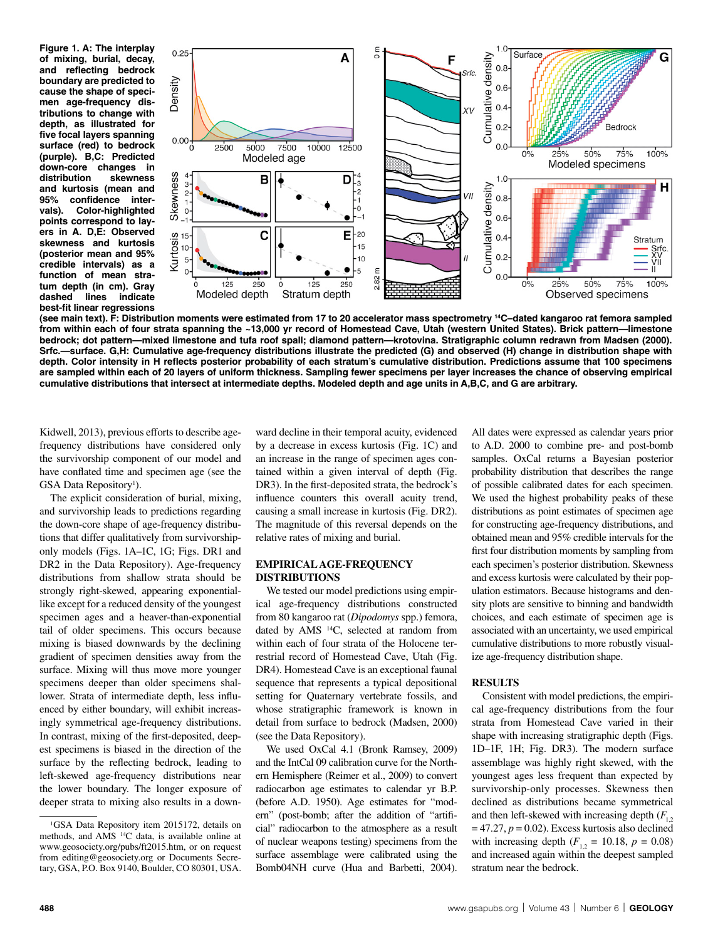**Figure 1. A: The interplay of mixing, burial, decay, and reflecting bedrock boundary are predicted to cause the shape of specimen age-frequency distributions to change with depth, as illustrated for five focal layers spanning surface (red) to bedrock (purple). B,C: Predicted down-core changes in distribution skewness and kurtosis (mean and 95% confidence intervals). Color-highlighted points correspond to layers in A. D,E: Observed skewness and kurtosis (posterior mean and 95% credible intervals) as a function of mean stratum depth (in cm). Gray dashed lines indicate best-fit linear regressions** 



**(see main text). F: Distribution moments were estimated from 17 to 20 accelerator mass spectrometry 14C–dated kangaroo rat femora sampled from within each of four strata spanning the ~13,000 yr record of Homestead Cave, Utah (western United States). Brick pattern—limestone bedrock; dot pattern—mixed limestone and tufa roof spall; diamond pattern—krotovina. Stratigraphic column redrawn from Madsen (2000). Srfc.—surface. G,H: Cumulative age-frequency distributions illustrate the predicted (G) and observed (H) change in distribution shape with depth. Color intensity in H reflects posterior probability of each stratum's cumulative distribution. Predictions assume that 100 specimens are sampled within each of 20 layers of uniform thickness. Sampling fewer specimens per layer increases the chance of observing empirical cumulative distributions that intersect at intermediate depths. Modeled depth and age units in A,B,C, and G are arbitrary.**

Kidwell, 2013), previous efforts to describe agefrequency distributions have considered only the survivorship component of our model and have conflated time and specimen age (see the GSA Data Repository<sup>1</sup>).

The explicit consideration of burial, mixing, and survivorship leads to predictions regarding the down-core shape of age-frequency distributions that differ qualitatively from survivorshiponly models (Figs. 1A–1C, 1G; Figs. DR1 and DR2 in the Data Repository). Age-frequency distributions from shallow strata should be strongly right-skewed, appearing exponentiallike except for a reduced density of the youngest specimen ages and a heaver-than-exponential tail of older specimens. This occurs because mixing is biased downwards by the declining gradient of specimen densities away from the surface. Mixing will thus move more younger specimens deeper than older specimens shallower. Strata of intermediate depth, less influenced by either boundary, will exhibit increasingly symmetrical age-frequency distributions. In contrast, mixing of the first-deposited, deepest specimens is biased in the direction of the surface by the reflecting bedrock, leading to left-skewed age-frequency distributions near the lower boundary. The longer exposure of deeper strata to mixing also results in a down-

ward decline in their temporal acuity, evidenced by a decrease in excess kurtosis (Fig. 1C) and an increase in the range of specimen ages contained within a given interval of depth (Fig. DR3). In the first-deposited strata, the bedrock's influence counters this overall acuity trend, causing a small increase in kurtosis (Fig. DR2). The magnitude of this reversal depends on the relative rates of mixing and burial.

## **EMPIRICAL AGE-FREQUENCY DISTRIBUTIONS**

We tested our model predictions using empirical age-frequency distributions constructed from 80 kangaroo rat (*Dipodomys* spp.) femora, dated by AMS 14C, selected at random from within each of four strata of the Holocene terrestrial record of Homestead Cave, Utah (Fig. DR4). Homestead Cave is an exceptional faunal sequence that represents a typical depositional setting for Quaternary vertebrate fossils, and whose stratigraphic framework is known in detail from surface to bedrock (Madsen, 2000) (see the Data Repository).

We used OxCal 4.1 (Bronk Ramsey, 2009) and the IntCal 09 calibration curve for the Northern Hemisphere (Reimer et al., 2009) to convert radiocarbon age estimates to calendar yr B.P. (before A.D. 1950). Age estimates for "modern" (post-bomb; after the addition of "artificial" radiocarbon to the atmosphere as a result of nuclear weapons testing) specimens from the surface assemblage were calibrated using the Bomb04NH curve (Hua and Barbetti, 2004).

All dates were expressed as calendar years prior to A.D. 2000 to combine pre- and post-bomb samples. OxCal returns a Bayesian posterior probability distribution that describes the range of possible calibrated dates for each specimen. We used the highest probability peaks of these distributions as point estimates of specimen age for constructing age-frequency distributions, and obtained mean and 95% credible intervals for the first four distribution moments by sampling from each specimen's posterior distribution. Skewness and excess kurtosis were calculated by their population estimators. Because histograms and density plots are sensitive to binning and bandwidth choices, and each estimate of specimen age is associated with an uncertainty, we used empirical cumulative distributions to more robustly visualize age-frequency distribution shape.

## **RESULTS**

Consistent with model predictions, the empirical age-frequency distributions from the four strata from Homestead Cave varied in their shape with increasing stratigraphic depth (Figs. 1D–1F, 1H; Fig. DR3). The modern surface assemblage was highly right skewed, with the youngest ages less frequent than expected by survivorship-only processes. Skewness then declined as distributions became symmetrical and then left-skewed with increasing depth  $(F_1, F_2)$  $= 47.27, p = 0.02$ ). Excess kurtosis also declined with increasing depth  $(F_{12} = 10.18, p = 0.08)$ and increased again within the deepest sampled stratum near the bedrock.

<sup>&</sup>lt;sup>1</sup>GSA Data Repository item 2015172, details on methods, and AMS 14C data, is available online at www.geosociety.org/pubs/ft2015.htm, or on request from editing@geosociety.org or Documents Secretary, GSA, P.O. Box 9140, Boulder, CO 80301, USA.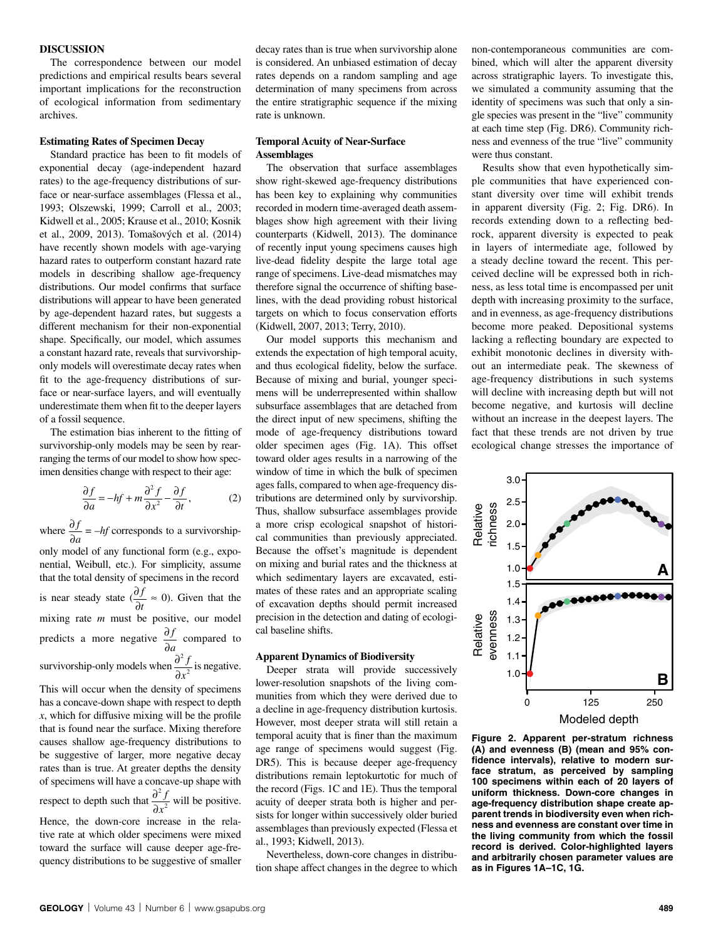#### **DISCUSSION**

The correspondence between our model predictions and empirical results bears several important implications for the reconstruction of ecological information from sedimentary archives.

### **Estimating Rates of Specimen Decay**

Standard practice has been to fit models of exponential decay (age-independent hazard rates) to the age-frequency distributions of surface or near-surface assemblages (Flessa et al., 1993; Olszewski, 1999; Carroll et al., 2003; Kidwell et al., 2005; Krause et al., 2010; Kosnik et al., 2009, 2013). Tomašových et al. (2014) have recently shown models with age-varying hazard rates to outperform constant hazard rate models in describing shallow age-frequency distributions. Our model confirms that surface distributions will appear to have been generated by age-dependent hazard rates, but suggests a different mechanism for their non-exponential shape. Specifically, our model, which assumes a constant hazard rate, reveals that survivorshiponly models will overestimate decay rates when fit to the age-frequency distributions of surface or near-surface layers, and will eventually underestimate them when fit to the deeper layers of a fossil sequence.

The estimation bias inherent to the fitting of survivorship-only models may be seen by rearranging the terms of our model to show how specimen densities change with respect to their age:

$$
\frac{\partial f}{\partial a} = -hf + m\frac{\partial^2 f}{\partial x^2} - \frac{\partial f}{\partial t},\tag{2}
$$

where  $\frac{\partial f}{\partial a}$  $\frac{\partial f}{\partial a}$  = *-hf* corresponds to a survivorshiponly model of any functional form (e.g., exponential, Weibull, etc.). For simplicity, assume that the total density of specimens in the record is near steady state  $\left(\frac{\partial f}{\partial t}\right)$  $\frac{\partial f}{\partial t} \approx 0$ ). Given that the mixing rate *m* must be positive, our model predicts a more negative  $\frac{\partial f}{\partial a}$  $\frac{\partial f}{\partial a}$  compared to survivorship-only models when  $\frac{\partial^2 f}{\partial x^2}$ 2  $\frac{\partial^2 f}{\partial x^2}$  is negative.

This will occur when the density of specimens has a concave-down shape with respect to depth *x*, which for diffusive mixing will be the profile that is found near the surface. Mixing therefore causes shallow age-frequency distributions to be suggestive of larger, more negative decay rates than is true. At greater depths the density of specimens will have a concave-up shape with respect to depth such that  $\frac{\partial^2 f}{\partial x^2}$ 2  $\frac{\partial^2 f}{\partial x^2}$  will be positive. Hence, the down-core increase in the relative rate at which older specimens were mixed toward the surface will cause deeper age-frequency distributions to be suggestive of smaller

decay rates than is true when survivorship alone is considered. An unbiased estimation of decay rates depends on a random sampling and age determination of many specimens from across the entire stratigraphic sequence if the mixing rate is unknown.

## **Temporal Acuity of Near-Surface Assemblages**

The observation that surface assemblages show right-skewed age-frequency distributions has been key to explaining why communities recorded in modern time-averaged death assemblages show high agreement with their living counterparts (Kidwell, 2013). The dominance of recently input young specimens causes high live-dead fidelity despite the large total age range of specimens. Live-dead mismatches may therefore signal the occurrence of shifting baselines, with the dead providing robust historical targets on which to focus conservation efforts (Kidwell, 2007, 2013; Terry, 2010).

Our model supports this mechanism and extends the expectation of high temporal acuity, and thus ecological fidelity, below the surface. Because of mixing and burial, younger specimens will be underrepresented within shallow subsurface assemblages that are detached from the direct input of new specimens, shifting the mode of age-frequency distributions toward older specimen ages (Fig. 1A). This offset toward older ages results in a narrowing of the window of time in which the bulk of specimen ages falls, compared to when age-frequency distributions are determined only by survivorship. Thus, shallow subsurface assemblages provide a more crisp ecological snapshot of historical communities than previously appreciated. Because the offset's magnitude is dependent on mixing and burial rates and the thickness at which sedimentary layers are excavated, estimates of these rates and an appropriate scaling of excavation depths should permit increased precision in the detection and dating of ecological baseline shifts.

#### **Apparent Dynamics of Biodiversity**

Deeper strata will provide successively lower-resolution snapshots of the living communities from which they were derived due to a decline in age-frequency distribution kurtosis. However, most deeper strata will still retain a temporal acuity that is finer than the maximum age range of specimens would suggest (Fig. DR5). This is because deeper age-frequency distributions remain leptokurtotic for much of the record (Figs. 1C and 1E). Thus the temporal acuity of deeper strata both is higher and persists for longer within successively older buried assemblages than previously expected (Flessa et al., 1993; Kidwell, 2013).

Nevertheless, down-core changes in distribution shape affect changes in the degree to which non-contemporaneous communities are combined, which will alter the apparent diversity across stratigraphic layers. To investigate this, we simulated a community assuming that the identity of specimens was such that only a single species was present in the "live" community at each time step (Fig. DR6). Community richness and evenness of the true "live" community were thus constant.

Results show that even hypothetically simple communities that have experienced constant diversity over time will exhibit trends in apparent diversity (Fig. 2; Fig. DR6). In records extending down to a reflecting bedrock, apparent diversity is expected to peak in layers of intermediate age, followed by a steady decline toward the recent. This perceived decline will be expressed both in richness, as less total time is encompassed per unit depth with increasing proximity to the surface, and in evenness, as age-frequency distributions become more peaked. Depositional systems lacking a reflecting boundary are expected to exhibit monotonic declines in diversity without an intermediate peak. The skewness of age-frequency distributions in such systems will decline with increasing depth but will not become negative, and kurtosis will decline without an increase in the deepest layers. The fact that these trends are not driven by true ecological change stresses the importance of



**Figure 2. Apparent per-stratum richness (A) and evenness (B) (mean and 95% confidence intervals), relative to modern surface stratum, as perceived by sampling 100 specimens within each of 20 layers of uniform thickness. Down-core changes in age-frequency distribution shape create apparent trends in biodiversity even when richness and evenness are constant over time in the living community from which the fossil record is derived. Color-highlighted layers and arbitrarily chosen parameter values are as in Figures 1A–1C, 1G.**